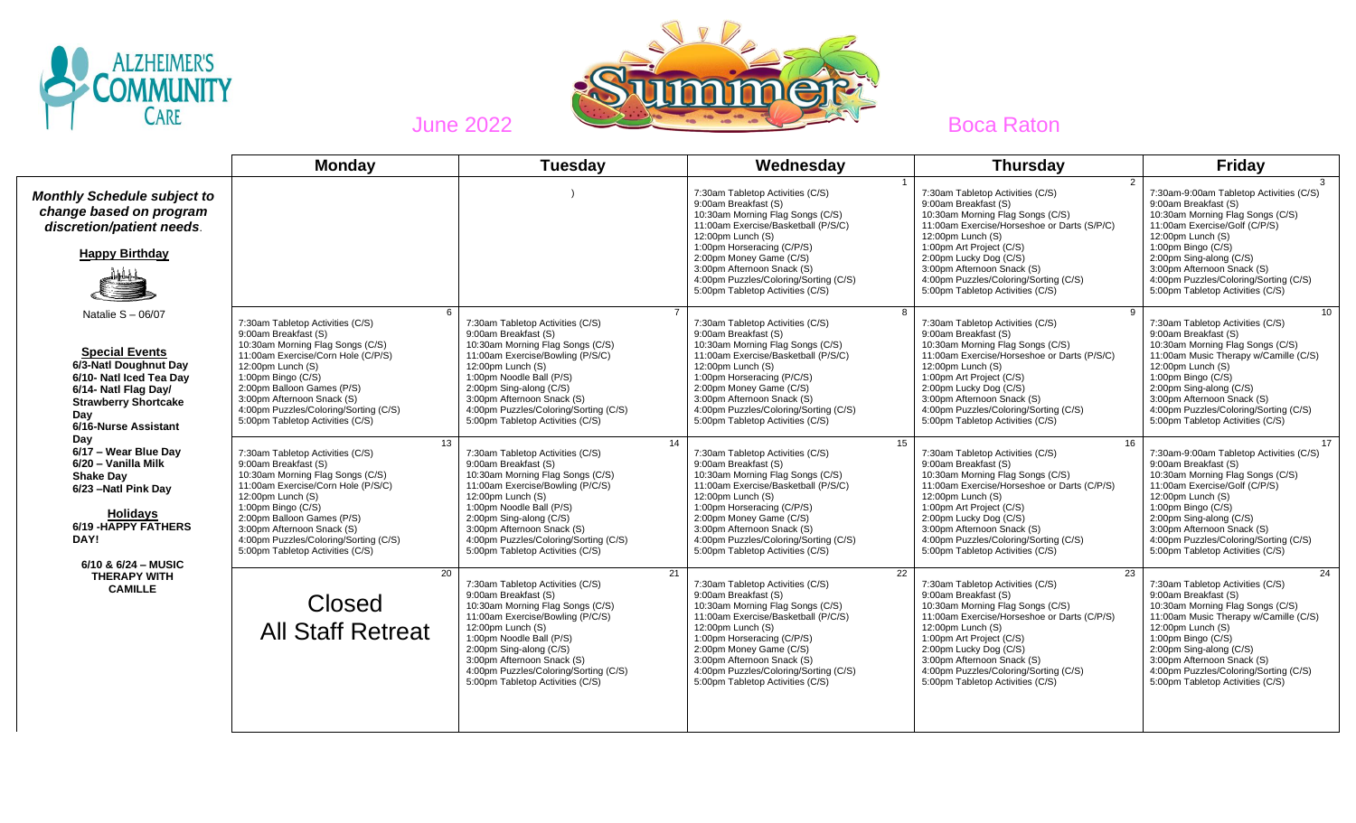



|                                                                                                                                                                                                                                                                                                                                                                                                             | <b>Monday</b>                                                                                                                                                                                                                                                                                                                | <b>Tuesday</b>                                                                                                                                                                                                                                                                                                                | Wednesday                                                                                                                                                                                                                                                                                                                                       | <b>Thursday</b>                                                                                                                                                                                                                                                                                                                                    | <b>Friday</b>                                                                                                                                                                                                                                                                                                                             |
|-------------------------------------------------------------------------------------------------------------------------------------------------------------------------------------------------------------------------------------------------------------------------------------------------------------------------------------------------------------------------------------------------------------|------------------------------------------------------------------------------------------------------------------------------------------------------------------------------------------------------------------------------------------------------------------------------------------------------------------------------|-------------------------------------------------------------------------------------------------------------------------------------------------------------------------------------------------------------------------------------------------------------------------------------------------------------------------------|-------------------------------------------------------------------------------------------------------------------------------------------------------------------------------------------------------------------------------------------------------------------------------------------------------------------------------------------------|----------------------------------------------------------------------------------------------------------------------------------------------------------------------------------------------------------------------------------------------------------------------------------------------------------------------------------------------------|-------------------------------------------------------------------------------------------------------------------------------------------------------------------------------------------------------------------------------------------------------------------------------------------------------------------------------------------|
| <b>Monthly Schedule subject to</b><br>change based on program<br>discretion/patient needs.<br><b>Happy Birthday</b>                                                                                                                                                                                                                                                                                         |                                                                                                                                                                                                                                                                                                                              |                                                                                                                                                                                                                                                                                                                               | 7:30am Tabletop Activities (C/S)<br>9:00am Breakfast (S)<br>10:30am Morning Flag Songs (C/S)<br>11:00am Exercise/Basketball (P/S/C)<br>12:00pm Lunch (S)<br>1:00pm Horseracing (C/P/S)<br>2:00pm Money Game (C/S)<br>3:00pm Afternoon Snack (S)<br>4:00pm Puzzles/Coloring/Sorting (C/S)<br>5:00pm Tabletop Activities (C/S)                    | $\mathcal{P}$<br>7:30am Tabletop Activities (C/S)<br>9:00am Breakfast (S)<br>10:30am Morning Flag Songs (C/S)<br>11:00am Exercise/Horseshoe or Darts (S/P/C)<br>12:00pm Lunch (S)<br>1:00pm Art Project (C/S)<br>2:00pm Lucky Dog (C/S)<br>3:00pm Afternoon Snack (S)<br>4:00pm Puzzles/Coloring/Sorting (C/S)<br>5:00pm Tabletop Activities (C/S) | 7:30am-9:00am Tabletop Activities (C/S)<br>9:00am Breakfast (S)<br>10:30am Morning Flag Songs (C/S)<br>11:00am Exercise/Golf (C/P/S)<br>12:00pm Lunch (S)<br>1:00pm Bingo (C/S)<br>2:00pm Sing-along (C/S)<br>3:00pm Afternoon Snack (S)<br>4:00pm Puzzles/Coloring/Sorting (C/S)<br>5:00pm Tabletop Activities (C/S)                     |
| Natalie $S - 06/07$<br><b>Special Events</b><br>6/3-Natl Doughnut Day<br>6/10- Natl Iced Tea Dav<br>6/14- Natl Flag Day/<br><b>Strawberry Shortcake</b><br>Day<br>6/16-Nurse Assistant<br>Day<br>6/17 - Wear Blue Day<br>6/20 - Vanilla Milk<br><b>Shake Dav</b><br>6/23 - Natl Pink Day<br><b>Holidays</b><br>6/19 - HAPPY FATHERS<br>DAY!<br>6/10 & 6/24 - MUSIC<br><b>THERAPY WITH</b><br><b>CAMILLE</b> | 6<br>7:30am Tabletop Activities (C/S)<br>9:00am Breakfast (S)<br>10:30am Morning Flag Songs (C/S)<br>11:00am Exercise/Corn Hole (C/P/S)<br>12:00pm Lunch (S)<br>1:00pm Bingo (C/S)<br>2:00pm Balloon Games (P/S)<br>3:00pm Afternoon Snack (S)<br>4:00pm Puzzles/Coloring/Sorting (C/S)<br>5:00pm Tabletop Activities (C/S)  | 7:30am Tabletop Activities (C/S)<br>9:00am Breakfast (S)<br>10:30am Morning Flag Songs (C/S)<br>11:00am Exercise/Bowling (P/S/C)<br>12:00pm Lunch (S)<br>1:00pm Noodle Ball (P/S)<br>2:00pm Sing-along (C/S)<br>3:00pm Afternoon Snack (S)<br>4:00pm Puzzles/Coloring/Sorting (C/S)<br>5:00pm Tabletop Activities (C/S)       | 8<br>7:30am Tabletop Activities (C/S)<br>9:00am Breakfast (S)<br>10:30am Morning Flag Songs (C/S)<br>11:00am Exercise/Basketball (P/S/C)<br>12:00pm Lunch (S)<br>1:00pm Horseracing (P/C/S)<br>2:00pm Money Game (C/S)<br>3:00pm Afternoon Snack (S)<br>4:00pm Puzzles/Coloring/Sorting (C/S)<br>5:00pm Tabletop Activities (C/S)               | 9<br>7:30am Tabletop Activities (C/S)<br>9:00am Breakfast (S)<br>10:30am Morning Flag Songs (C/S)<br>11:00am Exercise/Horseshoe or Darts (P/S/C)<br>12:00pm Lunch (S)<br>1:00pm Art Project (C/S)<br>2:00pm Lucky Dog (C/S)<br>3:00pm Afternoon Snack (S)<br>4:00pm Puzzles/Coloring/Sorting (C/S)<br>5:00pm Tabletop Activities (C/S)             | 10<br>7:30am Tabletop Activities (C/S)<br>9:00am Breakfast (S)<br>10:30am Morning Flag Songs (C/S)<br>11:00am Music Therapy w/Camille (C/S)<br>12:00pm Lunch (S)<br>1:00pm Bingo (C/S)<br>2:00pm Sing-along (C/S)<br>3:00pm Afternoon Snack (S)<br>4:00pm Puzzles/Coloring/Sorting (C/S)<br>5:00pm Tabletop Activities (C/S)              |
|                                                                                                                                                                                                                                                                                                                                                                                                             | 13<br>7:30am Tabletop Activities (C/S)<br>9:00am Breakfast (S)<br>10:30am Morning Flag Songs (C/S)<br>11:00am Exercise/Corn Hole (P/S/C)<br>12:00pm Lunch (S)<br>1:00pm Bingo (C/S)<br>2:00pm Balloon Games (P/S)<br>3:00pm Afternoon Snack (S)<br>4:00pm Puzzles/Coloring/Sorting (C/S)<br>5:00pm Tabletop Activities (C/S) | 14<br>7:30am Tabletop Activities (C/S)<br>9:00am Breakfast (S)<br>10:30am Morning Flag Songs (C/S)<br>11:00am Exercise/Bowling (P/C/S)<br>12:00pm Lunch (S)<br>1:00pm Noodle Ball (P/S)<br>2:00pm Sing-along (C/S)<br>3:00pm Afternoon Snack (S)<br>4:00pm Puzzles/Coloring/Sorting (C/S)<br>5:00pm Tabletop Activities (C/S) | 15<br>7:30am Tabletop Activities (C/S)<br>9:00am Breakfast (S)<br>10:30am Morning Flag Songs (C/S)<br>11:00am Exercise/Basketball (P/S/C)<br>12:00pm Lunch (S)<br>1:00pm Horseracing (C/P/S)<br>2:00pm Money Game (C/S)<br>3:00pm Afternoon Snack (S)<br>4:00pm Puzzles/Coloring/Sorting (C/S)<br>5:00pm Tabletop Activities (C/S)              | 16<br>7:30am Tabletop Activities (C/S)<br>9:00am Breakfast (S)<br>10:30am Morning Flag Songs (C/S)<br>11:00am Exercise/Horseshoe or Darts (C/P/S)<br>12:00pm Lunch (S)<br>1:00pm Art Project (C/S)<br>2:00pm Lucky Dog (C/S)<br>3:00pm Afternoon Snack (S)<br>4:00pm Puzzles/Coloring/Sorting (C/S)<br>5:00pm Tabletop Activities (C/S)            | 17<br>7:30am-9:00am Tabletop Activities (C/S)<br>9:00am Breakfast (S)<br>10:30am Morning Flag Songs (C/S)<br>11:00am Exercise/Golf (C/P/S)<br>12:00pm Lunch (S)<br>1:00pm Bingo $(C/S)$<br>2:00pm Sing-along (C/S)<br>3:00pm Afternoon Snack (S)<br>4:00pm Puzzles/Coloring/Sorting (C/S)<br>5:00pm Tabletop Activities (C/S)             |
|                                                                                                                                                                                                                                                                                                                                                                                                             | 20<br><b>Closed</b><br><b>All Staff Retreat</b>                                                                                                                                                                                                                                                                              | 21<br>7:30am Tabletop Activities (C/S)<br>9:00am Breakfast (S)<br>10:30am Morning Flag Songs (C/S)<br>11:00am Exercise/Bowling (P/C/S)<br>12:00pm Lunch (S)<br>1:00pm Noodle Ball (P/S)<br>2:00pm Sing-along (C/S)<br>3:00pm Afternoon Snack (S)<br>4:00pm Puzzles/Coloring/Sorting (C/S)<br>5:00pm Tabletop Activities (C/S) | $\overline{22}$<br>7:30am Tabletop Activities (C/S)<br>9:00am Breakfast (S)<br>10:30am Morning Flag Songs (C/S)<br>11:00am Exercise/Basketball (P/C/S)<br>12:00pm Lunch (S)<br>1:00pm Horseracing (C/P/S)<br>2:00pm Money Game (C/S)<br>3:00pm Afternoon Snack (S)<br>4:00pm Puzzles/Coloring/Sorting (C/S)<br>5:00pm Tabletop Activities (C/S) | 23<br>7:30am Tabletop Activities (C/S)<br>9:00am Breakfast (S)<br>10:30am Morning Flag Songs (C/S)<br>11:00am Exercise/Horseshoe or Darts (C/P/S)<br>12:00pm Lunch (S)<br>1:00pm Art Project (C/S)<br>2:00pm Lucky Dog (C/S)<br>3:00pm Afternoon Snack (S)<br>4:00pm Puzzles/Coloring/Sorting (C/S)<br>5:00pm Tabletop Activities (C/S)            | $\overline{24}$<br>7:30am Tabletop Activities (C/S)<br>9:00am Breakfast (S)<br>10:30am Morning Flag Songs (C/S)<br>11:00am Music Therapy w/Camille (C/S)<br>12:00pm Lunch (S)<br>1:00pm Bingo (C/S)<br>2:00pm Sing-along (C/S)<br>3:00pm Afternoon Snack (S)<br>4:00pm Puzzles/Coloring/Sorting (C/S)<br>5:00pm Tabletop Activities (C/S) |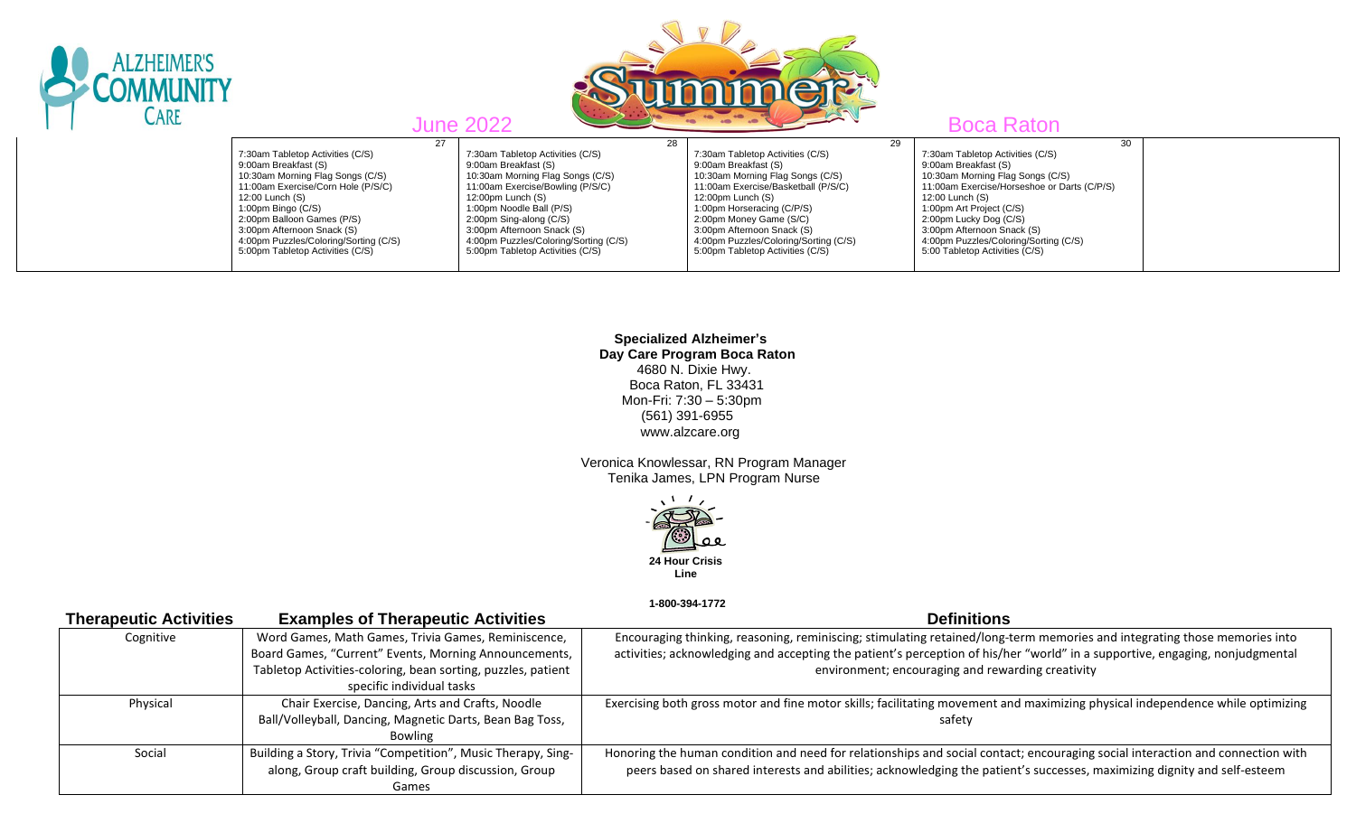| <b>ALZHEIMER'S</b><br>CARE |                                                                                                                                                                                                                                                                                                                      |    | <b>June 2022</b>                                                                                                                                                                                                                                                                                                        |    |                                                                                                                                                                                                                                                                                                                              |    | <b>Boca Raton</b>                                                                                                                                                                                                                                                                                                                   |  |
|----------------------------|----------------------------------------------------------------------------------------------------------------------------------------------------------------------------------------------------------------------------------------------------------------------------------------------------------------------|----|-------------------------------------------------------------------------------------------------------------------------------------------------------------------------------------------------------------------------------------------------------------------------------------------------------------------------|----|------------------------------------------------------------------------------------------------------------------------------------------------------------------------------------------------------------------------------------------------------------------------------------------------------------------------------|----|-------------------------------------------------------------------------------------------------------------------------------------------------------------------------------------------------------------------------------------------------------------------------------------------------------------------------------------|--|
|                            | 7:30am Tabletop Activities (C/S)<br>9:00am Breakfast (S)<br>10:30am Morning Flag Songs (C/S)<br>11:00am Exercise/Corn Hole (P/S/C)<br>12:00 Lunch (S)<br>1:00pm Bingo (C/S)<br>2:00pm Balloon Games (P/S)<br>3:00pm Afternoon Snack (S)<br>4:00pm Puzzles/Coloring/Sorting (C/S)<br>5:00pm Tabletop Activities (C/S) | 27 | 7:30am Tabletop Activities (C/S)<br>9:00am Breakfast (S)<br>10:30am Morning Flag Songs (C/S)<br>11:00am Exercise/Bowling (P/S/C)<br>12:00pm Lunch (S)<br>1:00pm Noodle Ball (P/S)<br>2:00pm Sing-along (C/S)<br>3:00pm Afternoon Snack (S)<br>4:00pm Puzzles/Coloring/Sorting (C/S)<br>5:00pm Tabletop Activities (C/S) | 28 | 7:30am Tabletop Activities (C/S)<br>9:00am Breakfast (S)<br>10:30am Morning Flag Songs (C/S)<br>11:00am Exercise/Basketball (P/S/C)<br>12:00pm Lunch (S)<br>1:00pm Horseracing (C/P/S)<br>2:00pm Money Game (S/C)<br>3:00pm Afternoon Snack (S)<br>4:00pm Puzzles/Coloring/Sorting (C/S)<br>5:00pm Tabletop Activities (C/S) | 29 | 30<br>7:30am Tabletop Activities (C/S)<br>9:00am Breakfast (S)<br>10:30am Morning Flag Songs (C/S)<br>11:00am Exercise/Horseshoe or Darts (C/P/S)<br>12:00 Lunch (S)<br>1:00pm Art Project (C/S)<br>2:00pm Lucky Dog (C/S)<br>3:00pm Afternoon Snack (S)<br>4:00pm Puzzles/Coloring/Sorting (C/S)<br>5:00 Tabletop Activities (C/S) |  |

 **Specialized Alzheimer's Day Care Program Boca Raton** 4680 N. Dixie Hwy. Boca Raton, FL 33431 Mon-Fri: 7:30 – 5:30pm (561) 391-6955 www.alzcare.org

 Veronica Knowlessar, RN Program Manager Tenika James, LPN Program Nurse



 **1-800-394-1772** 

| <b>Therapeutic Activities</b> | <b>Examples of Therapeutic Activities</b>                    | <b>Definitions</b>                                                                                                             |
|-------------------------------|--------------------------------------------------------------|--------------------------------------------------------------------------------------------------------------------------------|
| Cognitive                     | Word Games, Math Games, Trivia Games, Reminiscence,          | Encouraging thinking, reasoning, reminiscing; stimulating retained/long-term memories and integrating those memories into      |
|                               | Board Games, "Current" Events, Morning Announcements,        | activities; acknowledging and accepting the patient's perception of his/her "world" in a supportive, engaging, nonjudgmental   |
|                               | Tabletop Activities-coloring, bean sorting, puzzles, patient | environment; encouraging and rewarding creativity                                                                              |
|                               | specific individual tasks                                    |                                                                                                                                |
| Physical                      | Chair Exercise, Dancing, Arts and Crafts, Noodle             | Exercising both gross motor and fine motor skills; facilitating movement and maximizing physical independence while optimizing |
|                               | Ball/Volleyball, Dancing, Magnetic Darts, Bean Bag Toss,     | safety                                                                                                                         |
|                               | Bowling                                                      |                                                                                                                                |
| Social                        | Building a Story, Trivia "Competition", Music Therapy, Sing- | Honoring the human condition and need for relationships and social contact; encouraging social interaction and connection with |
|                               | along, Group craft building, Group discussion, Group         | peers based on shared interests and abilities; acknowledging the patient's successes, maximizing dignity and self-esteem       |
|                               | Games                                                        |                                                                                                                                |